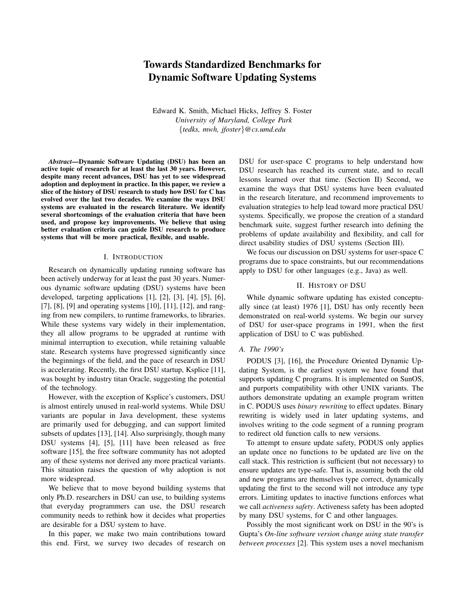# Towards Standardized Benchmarks for Dynamic Software Updating Systems

Edward K. Smith, Michael Hicks, Jeffrey S. Foster *University of Maryland, College Park* {*tedks, mwh, jfoster*}*@cs.umd.edu*

*Abstract*—Dynamic Software Updating (DSU) has been an active topic of research for at least the last 30 years. However, despite many recent advances, DSU has yet to see widespread adoption and deployment in practice. In this paper, we review a slice of the history of DSU research to study how DSU for C has evolved over the last two decades. We examine the ways DSU systems are evaluated in the research literature. We identify several shortcomings of the evaluation criteria that have been used, and propose key improvements. We believe that using better evaluation criteria can guide DSU research to produce systems that will be more practical, flexible, and usable.

#### I. INTRODUCTION

Research on dynamically updating running software has been actively underway for at least the past 30 years. Numerous dynamic software updating (DSU) systems have been developed, targeting applications [1], [2], [3], [4], [5], [6], [7], [8], [9] and operating systems [10], [11], [12], and ranging from new compilers, to runtime frameworks, to libraries. While these systems vary widely in their implementation, they all allow programs to be upgraded at runtime with minimal interruption to execution, while retaining valuable state. Research systems have progressed significantly since the beginnings of the field, and the pace of research in DSU is accelerating. Recently, the first DSU startup, Ksplice [11], was bought by industry titan Oracle, suggesting the potential of the technology.

However, with the exception of Ksplice's customers, DSU is almost entirely unused in real-world systems. While DSU variants are popular in Java development, these systems are primarily used for debugging, and can support limited subsets of updates [13], [14]. Also surprisingly, though many DSU systems [4], [5], [11] have been released as free software [15], the free software community has not adopted any of these systems nor derived any more practical variants. This situation raises the question of why adoption is not more widespread.

We believe that to move beyond building systems that only Ph.D. researchers in DSU can use, to building systems that everyday programmers can use, the DSU research community needs to rethink how it decides what properties are desirable for a DSU system to have.

In this paper, we make two main contributions toward this end. First, we survey two decades of research on DSU for user-space C programs to help understand how DSU research has reached its current state, and to recall lessons learned over that time. (Section II) Second, we examine the ways that DSU systems have been evaluated in the research literature, and recommend improvements to evaluation strategies to help lead toward more practical DSU systems. Specifically, we propose the creation of a standard benchmark suite, suggest further research into defining the problems of update availability and flexibility, and call for direct usability studies of DSU systems (Section III).

We focus our discussion on DSU systems for user-space C programs due to space constraints, but our recommendations apply to DSU for other languages (e.g., Java) as well.

# II. HISTORY OF DSU

While dynamic software updating has existed conceptually since (at least) 1976 [1], DSU has only recently been demonstrated on real-world systems. We begin our survey of DSU for user-space programs in 1991, when the first application of DSU to C was published.

## *A. The 1990's*

PODUS [3], [16], the Procedure Oriented Dynamic Updating System, is the earliest system we have found that supports updating C programs. It is implemented on SunOS, and purports compatibility with other UNIX variants. The authors demonstrate updating an example program written in C. PODUS uses *binary rewriting* to effect updates. Binary rewriting is widely used in later updating systems, and involves writing to the code segment of a running program to redirect old function calls to new versions.

To attempt to ensure update safety, PODUS only applies an update once no functions to be updated are live on the call stack. This restriction is sufficient (but not necessary) to ensure updates are type-safe. That is, assuming both the old and new programs are themselves type correct, dynamically updating the first to the second will not introduce any type errors. Limiting updates to inactive functions enforces what we call *activeness safety*. Activeness safety has been adopted by many DSU systems, for C and other languages.

Possibly the most significant work on DSU in the 90's is Gupta's *On-line software version change using state transfer between processes* [2]. This system uses a novel mechanism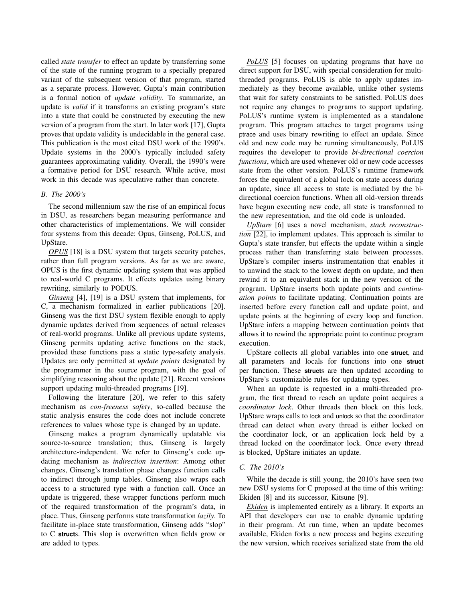called *state transfer* to effect an update by transferring some of the state of the running program to a specially prepared variant of the subsequent version of that program, started as a separate process. However, Gupta's main contribution is a formal notion of *update validity*. To summarize, an update is *valid* if it transforms an existing program's state into a state that could be constructed by executing the new version of a program from the start. In later work [17], Gupta proves that update validity is undecidable in the general case. This publication is the most cited DSU work of the 1990's. Update systems in the 2000's typically included safety guarantees approximating validity. Overall, the 1990's were a formative period for DSU research. While active, most work in this decade was speculative rather than concrete.

## *B. The 2000's*

The second millennium saw the rise of an empirical focus in DSU, as researchers began measuring performance and other characteristics of implementations. We will consider four systems from this decade: Opus, Ginseng, PoLUS, and UpStare.

*OPUS* [18] is a DSU system that targets security patches, rather than full program versions. As far as we are aware, OPUS is the first dynamic updating system that was applied to real-world C programs. It effects updates using binary rewriting, similarly to PODUS.

*Ginseng* [4], [19] is a DSU system that implements, for C, a mechanism formalized in earlier publications [20]. Ginseng was the first DSU system flexible enough to apply dynamic updates derived from sequences of actual releases of real-world programs. Unlike all previous update systems, Ginseng permits updating active functions on the stack, provided these functions pass a static type-safety analysis. Updates are only permitted at *update points* designated by the programmer in the source program, with the goal of simplifying reasoning about the update [21]. Recent versions support updating multi-threaded programs [19].

Following the literature [20], we refer to this safety mechanism as *con-freeness safety*, so-called because the static analysis ensures the code does not include concrete references to values whose type is changed by an update.

Ginseng makes a program dynamically updatable via source-to-source translation; thus, Ginseng is largely architecture-independent. We refer to Ginseng's code updating mechanism as *indirection insertion*: Among other changes, Ginseng's translation phase changes function calls to indirect through jump tables. Ginseng also wraps each access to a structured type with a function call. Once an update is triggered, these wrapper functions perform much of the required transformation of the program's data, in place. Thus, Ginseng performs state transformation *lazily*. To facilitate in-place state transformation, Ginseng adds "slop" to C **struct**s. This slop is overwritten when fields grow or are added to types.

*PoLUS* [5] focuses on updating programs that have no direct support for DSU, with special consideration for multithreaded programs. PoLUS is able to apply updates immediately as they become available, unlike other systems that wait for safety constraints to be satisfied. PoLUS does not require any changes to programs to support updating. PoLUS's runtime system is implemented as a standalone program. This program attaches to target programs using ptrace and uses binary rewriting to effect an update. Since old and new code may be running simultaneously, PoLUS requires the developer to provide *bi-directional coercion functions*, which are used whenever old or new code accesses state from the other version. PoLUS's runtime framework forces the equivalent of a global lock on state access during an update, since all access to state is mediated by the bidirectional coercion functions. When all old-version threads have begun executing new code, all state is transformed to the new representation, and the old code is unloaded.

*UpStare* [6] uses a novel mechanism, *stack reconstruction* [22], to implement updates. This approach is similar to Gupta's state transfer, but effects the update within a single process rather than transferring state between processes. UpStare's compiler inserts instrumentation that enables it to unwind the stack to the lowest depth on update, and then rewind it to an equivalent stack in the new version of the program. UpStare inserts both update points and *continuation points* to facilitate updating. Continuation points are inserted before every function call and update point, and update points at the beginning of every loop and function. UpStare infers a mapping between continuation points that allows it to rewind the appropriate point to continue program execution.

UpStare collects all global variables into one **struct**, and all parameters and locals for functions into one **struct** per function. These **struct**s are then updated according to UpStare's customizable rules for updating types.

When an update is requested in a multi-threaded program, the first thread to reach an update point acquires a *coordinator lock*. Other threads then block on this lock. UpStare wraps calls to lock and unlock so that the coordinator thread can detect when every thread is either locked on the coordinator lock, or an application lock held by a thread locked on the coordinator lock. Once every thread is blocked, UpStare initiates an update.

## *C. The 2010's*

While the decade is still young, the 2010's have seen two new DSU systems for C proposed at the time of this writing: Ekiden [8] and its successor, Kitsune [9].

*Ekiden* is implemented entirely as a library. It exports an API that developers can use to enable dynamic updating in their program. At run time, when an update becomes available, Ekiden forks a new process and begins executing the new version, which receives serialized state from the old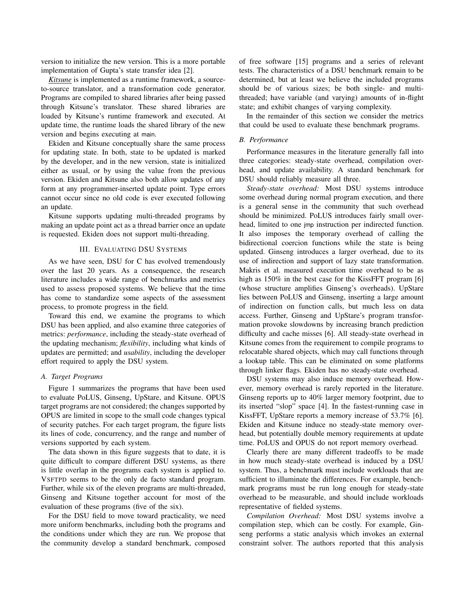version to initialize the new version. This is a more portable implementation of Gupta's state transfer idea [2].

*Kitsune* is implemented as a runtime framework, a sourceto-source translator, and a transformation code generator. Programs are compiled to shared libraries after being passed through Kitsune's translator. These shared libraries are loaded by Kitsune's runtime framework and executed. At update time, the runtime loads the shared library of the new version and begins executing at main.

Ekiden and Kitsune conceptually share the same process for updating state. In both, state to be updated is marked by the developer, and in the new version, state is initialized either as usual, or by using the value from the previous version. Ekiden and Kitsune also both allow updates of any form at any programmer-inserted update point. Type errors cannot occur since no old code is ever executed following an update.

Kitsune supports updating multi-threaded programs by making an update point act as a thread barrier once an update is requested. Ekiden does not support multi-threading.

## III. EVALUATING DSU SYSTEMS

As we have seen, DSU for C has evolved tremendously over the last 20 years. As a consequence, the research literature includes a wide range of benchmarks and metrics used to assess proposed systems. We believe that the time has come to standardize some aspects of the assessment process, to promote progress in the field.

Toward this end, we examine the programs to which DSU has been applied, and also examine three categories of metrics: *performance*, including the steady-state overhead of the updating mechanism; *flexibility*, including what kinds of updates are permitted; and *usability*, including the developer effort required to apply the DSU system.

# *A. Target Programs*

Figure 1 summarizes the programs that have been used to evaluate PoLUS, Ginseng, UpStare, and Kitsune. OPUS target programs are not considered; the changes supported by OPUS are limited in scope to the small code changes typical of security patches. For each target program, the figure lists its lines of code, concurrency, and the range and number of versions supported by each system.

The data shown in this figure suggests that to date, it is quite difficult to compare different DSU systems, as there is little overlap in the programs each system is applied to. VSFTPD seems to be the only de facto standard program. Further, while six of the eleven programs are multi-threaded, Ginseng and Kitsune together account for most of the evaluation of these programs (five of the six).

For the DSU field to move toward practicality, we need more uniform benchmarks, including both the programs and the conditions under which they are run. We propose that the community develop a standard benchmark, composed of free software [15] programs and a series of relevant tests. The characteristics of a DSU benchmark remain to be determined, but at least we believe the included programs should be of various sizes; be both single- and multithreaded; have variable (and varying) amounts of in-flight state; and exhibit changes of varying complexity.

In the remainder of this section we consider the metrics that could be used to evaluate these benchmark programs.

#### *B. Performance*

Performance measures in the literature generally fall into three categories: steady-state overhead, compilation overhead, and update availability. A standard benchmark for DSU should reliably measure all three.

*Steady-state overhead:* Most DSU systems introduce some overhead during normal program execution, and there is a general sense in the community that such overhead should be minimized. PoLUS introduces fairly small overhead, limited to one jmp instruction per indirected function. It also imposes the temporary overhead of calling the bidirectional coercion functions while the state is being updated. Ginseng introduces a larger overhead, due to its use of indirection and support of lazy state transformation. Makris et al. measured execution time overhead to be as high as 150% in the best case for the KissFFT program [6] (whose structure amplifies Ginseng's overheads). UpStare lies between PoLUS and Ginseng, inserting a large amount of indirection on function calls, but much less on data access. Further, Ginseng and UpStare's program transformation provoke slowdowns by increasing branch prediction difficulty and cache misses [6]. All steady-state overhead in Kitsune comes from the requirement to compile programs to relocatable shared objects, which may call functions through a lookup table. This can be eliminated on some platforms through linker flags. Ekiden has no steady-state overhead.

DSU systems may also induce memory overhead. However, memory overhead is rarely reported in the literature. Ginseng reports up to 40% larger memory footprint, due to its inserted "slop" space [4]. In the fastest-running case in KissFFT, UpStare reports a memory increase of 53.7% [6]. Ekiden and Kitsune induce no steady-state memory overhead, but potentially double memory requirements at update time. PoLUS and OPUS do not report memory overhead.

Clearly there are many different tradeoffs to be made in how much steady-state overhead is induced by a DSU system. Thus, a benchmark must include workloads that are sufficient to illuminate the differences. For example, benchmark programs must be run long enough for steady-state overhead to be measurable, and should include workloads representative of fielded systems.

*Compilation Overhead:* Most DSU systems involve a compilation step, which can be costly. For example, Ginseng performs a static analysis which invokes an external constraint solver. The authors reported that this analysis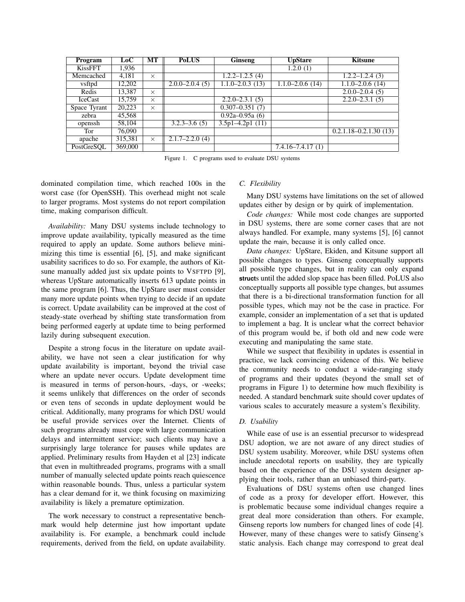| Program        | LoC \   | <b>MT</b> | <b>PoLUS</b>       | <b>Ginseng</b>      | <b>UpStare</b>       | <b>Kitsune</b>            |
|----------------|---------|-----------|--------------------|---------------------|----------------------|---------------------------|
| KissFFT        | 1,936   |           |                    |                     | 1.2.0(1)             |                           |
| Memcached      | 4,181   | $\times$  |                    | $1.2.2 - 1.2.5(4)$  |                      | $1.2.2 - 1.2.4(3)$        |
| vsftpd         | 12,202  |           | $2.0.0 - 2.0.4(5)$ | $1.1.0 - 2.0.3(13)$ | $1.1.0 - 2.0.6(14)$  | $1.1.0 - 2.0.6(14)$       |
| Redis          | 13,387  | $\times$  |                    |                     |                      | $2.0.0 - 2.0.4(5)$        |
| <b>IceCast</b> | 15.759  | $\times$  |                    | $2.2.0 - 2.3.1(5)$  |                      | $2.2.0 - 2.3.1(5)$        |
| Space Tyrant   | 20,223  | $\times$  |                    | $0.307 - 0.351(7)$  |                      |                           |
| zebra          | 45,568  |           |                    | $0.92a - 0.95a(6)$  |                      |                           |
| openssh        | 58,104  |           | $3.2.3 - 3.6(5)$   | $3.5p1-4.2p1(11)$   |                      |                           |
| Tor            | 76,090  |           |                    |                     |                      | $0.2.1.18 - 0.2.1.30(13)$ |
| apache         | 315,381 | $\times$  | $2.1.7 - 2.2.0(4)$ |                     |                      |                           |
| PostGreSOL     | 369,000 |           |                    |                     | $7.4.16 - 7.4.17(1)$ |                           |

Figure 1. C programs used to evaluate DSU systems

dominated compilation time, which reached 100s in the worst case (for OpenSSH). This overhead might not scale to larger programs. Most systems do not report compilation time, making comparison difficult.

*Availability:* Many DSU systems include technology to improve update availability, typically measured as the time required to apply an update. Some authors believe minimizing this time is essential [6], [5], and make significant usability sacrifices to do so. For example, the authors of Kitsune manually added just six update points to VSFTPD [9], whereas UpStare automatically inserts 613 update points in the same program [6]. Thus, the UpStare user must consider many more update points when trying to decide if an update is correct. Update availability can be improved at the cost of steady-state overhead by shifting state transformation from being performed eagerly at update time to being performed lazily during subsequent execution.

Despite a strong focus in the literature on update availability, we have not seen a clear justification for why update availability is important, beyond the trivial case where an update never occurs. Update development time is measured in terms of person-hours, -days, or -weeks; it seems unlikely that differences on the order of seconds or even tens of seconds in update deployment would be critical. Additionally, many programs for which DSU would be useful provide services over the Internet. Clients of such programs already must cope with large communication delays and intermittent service; such clients may have a surprisingly large tolerance for pauses while updates are applied. Preliminary results from Hayden et al [23] indicate that even in multithreaded programs, programs with a small number of manually selected update points reach quiescence within reasonable bounds. Thus, unless a particular system has a clear demand for it, we think focusing on maximizing availability is likely a premature optimization.

The work necessary to construct a representative benchmark would help determine just how important update availability is. For example, a benchmark could include requirements, derived from the field, on update availability.

## *C. Flexibility*

Many DSU systems have limitations on the set of allowed updates either by design or by quirk of implementation.

*Code changes:* While most code changes are supported in DSU systems, there are some corner cases that are not always handled. For example, many systems [5], [6] cannot update the main, because it is only called once.

*Data changes:* UpStare, Ekiden, and Kitsune support all possible changes to types. Ginseng conceptually supports all possible type changes, but in reality can only expand **struct**s until the added slop space has been filled. PoLUS also conceptually supports all possible type changes, but assumes that there is a bi-directional transformation function for all possible types, which may not be the case in practice. For example, consider an implementation of a set that is updated to implement a bag. It is unclear what the correct behavior of this program would be, if both old and new code were executing and manipulating the same state.

While we suspect that flexibility in updates is essential in practice, we lack convincing evidence of this. We believe the community needs to conduct a wide-ranging study of programs and their updates (beyond the small set of programs in Figure 1) to determine how much flexibility is needed. A standard benchmark suite should cover updates of various scales to accurately measure a system's flexibility.

# *D. Usability*

While ease of use is an essential precursor to widespread DSU adoption, we are not aware of any direct studies of DSU system usability. Moreover, while DSU systems often include anecdotal reports on usability, they are typically based on the experience of the DSU system designer applying their tools, rather than an unbiased third-party.

Evaluations of DSU systems often use changed lines of code as a proxy for developer effort. However, this is problematic because some individual changes require a great deal more consideration than others. For example, Ginseng reports low numbers for changed lines of code [4]. However, many of these changes were to satisfy Ginseng's static analysis. Each change may correspond to great deal